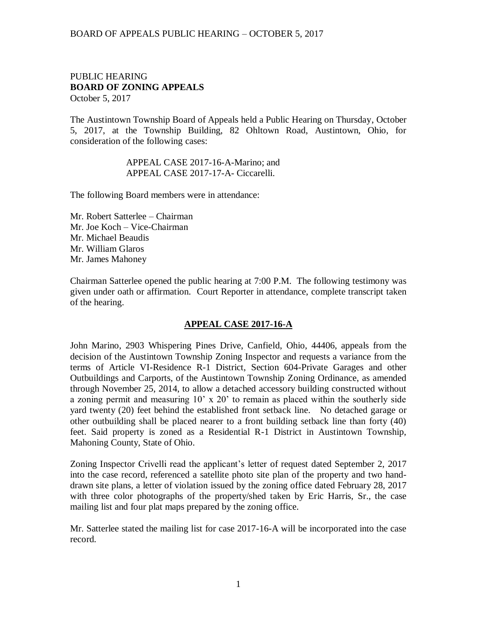## BOARD OF APPEALS PUBLIC HEARING – OCTOBER 5, 2017

### PUBLIC HEARING **BOARD OF ZONING APPEALS**  October 5, 2017

The Austintown Township Board of Appeals held a Public Hearing on Thursday, October 5, 2017, at the Township Building, 82 Ohltown Road, Austintown, Ohio, for consideration of the following cases:

#### APPEAL CASE 2017-16-A-Marino; and APPEAL CASE 2017-17-A- Ciccarelli.

The following Board members were in attendance:

Mr. Robert Satterlee – Chairman Mr. Joe Koch – Vice-Chairman Mr. Michael Beaudis Mr. William Glaros Mr. James Mahoney

Chairman Satterlee opened the public hearing at 7:00 P.M. The following testimony was given under oath or affirmation. Court Reporter in attendance, complete transcript taken of the hearing.

# **APPEAL CASE 2017-16-A**

John Marino, 2903 Whispering Pines Drive, Canfield, Ohio, 44406, appeals from the decision of the Austintown Township Zoning Inspector and requests a variance from the terms of Article VI-Residence R-1 District, Section 604-Private Garages and other Outbuildings and Carports, of the Austintown Township Zoning Ordinance, as amended through November 25, 2014, to allow a detached accessory building constructed without a zoning permit and measuring 10' x 20' to remain as placed within the southerly side yard twenty (20) feet behind the established front setback line. No detached garage or other outbuilding shall be placed nearer to a front building setback line than forty (40) feet. Said property is zoned as a Residential R-1 District in Austintown Township, Mahoning County, State of Ohio.

Zoning Inspector Crivelli read the applicant's letter of request dated September 2, 2017 into the case record, referenced a satellite photo site plan of the property and two handdrawn site plans, a letter of violation issued by the zoning office dated February 28, 2017 with three color photographs of the property/shed taken by Eric Harris, Sr., the case mailing list and four plat maps prepared by the zoning office.

Mr. Satterlee stated the mailing list for case 2017-16-A will be incorporated into the case record.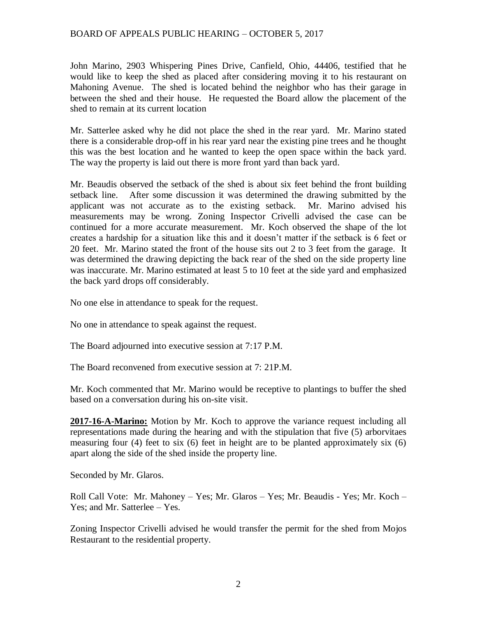# BOARD OF APPEALS PUBLIC HEARING – OCTOBER 5, 2017

John Marino, 2903 Whispering Pines Drive, Canfield, Ohio, 44406, testified that he would like to keep the shed as placed after considering moving it to his restaurant on Mahoning Avenue. The shed is located behind the neighbor who has their garage in between the shed and their house. He requested the Board allow the placement of the shed to remain at its current location

Mr. Satterlee asked why he did not place the shed in the rear yard. Mr. Marino stated there is a considerable drop-off in his rear yard near the existing pine trees and he thought this was the best location and he wanted to keep the open space within the back yard. The way the property is laid out there is more front yard than back yard.

Mr. Beaudis observed the setback of the shed is about six feet behind the front building setback line. After some discussion it was determined the drawing submitted by the applicant was not accurate as to the existing setback. Mr. Marino advised his measurements may be wrong. Zoning Inspector Crivelli advised the case can be continued for a more accurate measurement. Mr. Koch observed the shape of the lot creates a hardship for a situation like this and it doesn't matter if the setback is 6 feet or 20 feet. Mr. Marino stated the front of the house sits out 2 to 3 feet from the garage. It was determined the drawing depicting the back rear of the shed on the side property line was inaccurate. Mr. Marino estimated at least 5 to 10 feet at the side yard and emphasized the back yard drops off considerably.

No one else in attendance to speak for the request.

No one in attendance to speak against the request.

The Board adjourned into executive session at 7:17 P.M.

The Board reconvened from executive session at 7: 21P.M.

Mr. Koch commented that Mr. Marino would be receptive to plantings to buffer the shed based on a conversation during his on-site visit.

**2017-16-A-Marino:** Motion by Mr. Koch to approve the variance request including all representations made during the hearing and with the stipulation that five (5) arborvitaes measuring four  $(4)$  feet to six  $(6)$  feet in height are to be planted approximately six  $(6)$ apart along the side of the shed inside the property line.

Seconded by Mr. Glaros.

Roll Call Vote: Mr. Mahoney – Yes; Mr. Glaros – Yes; Mr. Beaudis - Yes; Mr. Koch – Yes; and Mr. Satterlee – Yes.

Zoning Inspector Crivelli advised he would transfer the permit for the shed from Mojos Restaurant to the residential property.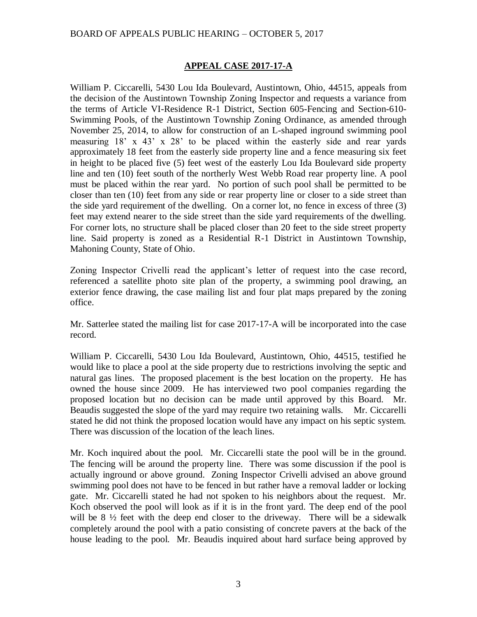# BOARD OF APPEALS PUBLIC HEARING – OCTOBER 5, 2017

# **APPEAL CASE 2017-17-A**

William P. Ciccarelli, 5430 Lou Ida Boulevard, Austintown, Ohio, 44515, appeals from the decision of the Austintown Township Zoning Inspector and requests a variance from the terms of Article VI-Residence R-1 District, Section 605-Fencing and Section-610- Swimming Pools, of the Austintown Township Zoning Ordinance, as amended through November 25, 2014, to allow for construction of an L-shaped inground swimming pool measuring 18' x 43' x 28' to be placed within the easterly side and rear yards approximately 18 feet from the easterly side property line and a fence measuring six feet in height to be placed five (5) feet west of the easterly Lou Ida Boulevard side property line and ten (10) feet south of the northerly West Webb Road rear property line. A pool must be placed within the rear yard. No portion of such pool shall be permitted to be closer than ten (10) feet from any side or rear property line or closer to a side street than the side yard requirement of the dwelling. On a corner lot, no fence in excess of three (3) feet may extend nearer to the side street than the side yard requirements of the dwelling. For corner lots, no structure shall be placed closer than 20 feet to the side street property line. Said property is zoned as a Residential R-1 District in Austintown Township, Mahoning County, State of Ohio.

Zoning Inspector Crivelli read the applicant's letter of request into the case record, referenced a satellite photo site plan of the property, a swimming pool drawing, an exterior fence drawing, the case mailing list and four plat maps prepared by the zoning office.

Mr. Satterlee stated the mailing list for case 2017-17-A will be incorporated into the case record.

William P. Ciccarelli, 5430 Lou Ida Boulevard, Austintown, Ohio, 44515, testified he would like to place a pool at the side property due to restrictions involving the septic and natural gas lines. The proposed placement is the best location on the property. He has owned the house since 2009. He has interviewed two pool companies regarding the proposed location but no decision can be made until approved by this Board. Mr. Beaudis suggested the slope of the yard may require two retaining walls. Mr. Ciccarelli stated he did not think the proposed location would have any impact on his septic system. There was discussion of the location of the leach lines.

Mr. Koch inquired about the pool. Mr. Ciccarelli state the pool will be in the ground. The fencing will be around the property line. There was some discussion if the pool is actually inground or above ground. Zoning Inspector Crivelli advised an above ground swimming pool does not have to be fenced in but rather have a removal ladder or locking gate. Mr. Ciccarelli stated he had not spoken to his neighbors about the request. Mr. Koch observed the pool will look as if it is in the front yard. The deep end of the pool will be 8  $\frac{1}{2}$  feet with the deep end closer to the driveway. There will be a sidewalk completely around the pool with a patio consisting of concrete pavers at the back of the house leading to the pool. Mr. Beaudis inquired about hard surface being approved by